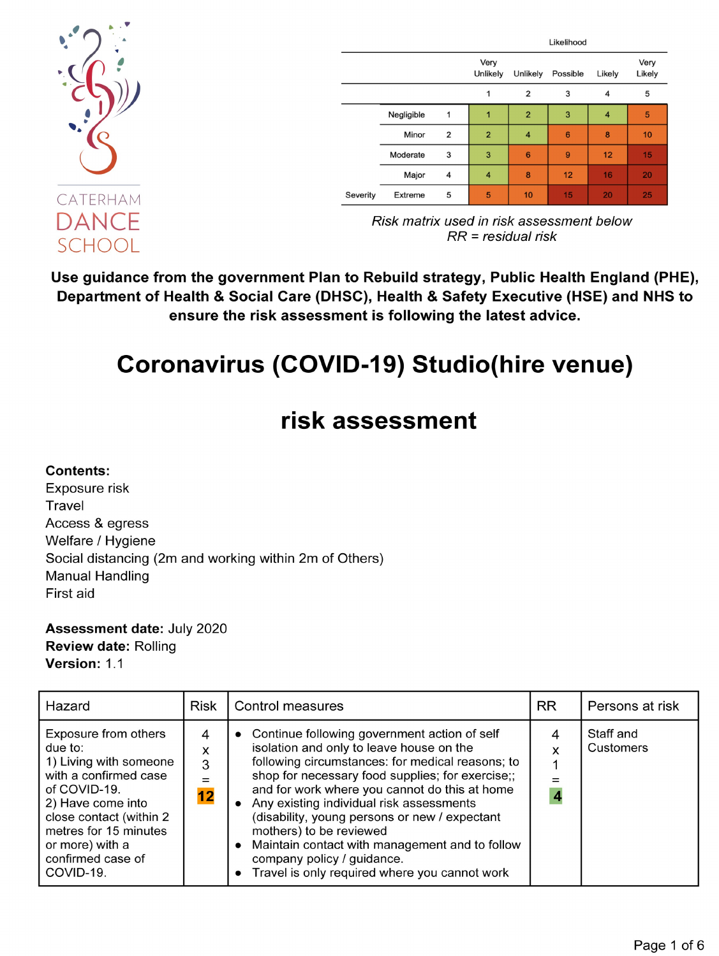

|            |                | Likelihood       |                |          |        |                |
|------------|----------------|------------------|----------------|----------|--------|----------------|
|            |                | Very<br>Unlikely | Unlikely       | Possible | Likely | Very<br>Likely |
|            |                | 1                | 2              | 3        | 4      | 5              |
| Negligible | 1              | 1                | $\overline{2}$ | 3        | 4      | 5              |
| Minor      | $\overline{2}$ | $\overline{2}$   | 4              | 6        | 8      | 10             |
| Moderate   | 3              | 3                | 6              | 9        | 12     | 15             |
| Major      | 4              | $\overline{4}$   | 8              | 12       | 16     | 20             |
| Extreme    | 5              | 5                | 10             | 15       | 20     | 25             |
|            |                |                  |                |          |        |                |

Risk matrix used in risk assessment below  $RR = residual risk$ 

Use guidance from the government Plan to Rebuild strategy, Public Health England (PHE), Department of Health & Social Care (DHSC), Health & Safety Executive (HSE) and NHS to ensure the risk assessment is following the latest advice.

# **Coronavirus (COVID-19) Studio(hire venue)**

## risk assessment

#### **Contents:**

Exposure risk Travel Access & egress Welfare / Hygiene Social distancing (2m and working within 2m of Others) **Manual Handling** First aid

**Assessment date: July 2020 Review date: Rolling** Version: 1.1

| Hazard                                                                                                                                                                                                                           | <b>Risk</b>       | <b>RR</b><br>Control measures                                                                                                                                                                                                                                                                                                                                                                                                                                                                                |        | Persons at risk        |
|----------------------------------------------------------------------------------------------------------------------------------------------------------------------------------------------------------------------------------|-------------------|--------------------------------------------------------------------------------------------------------------------------------------------------------------------------------------------------------------------------------------------------------------------------------------------------------------------------------------------------------------------------------------------------------------------------------------------------------------------------------------------------------------|--------|------------------------|
| Exposure from others<br>due to:<br>1) Living with someone<br>with a confirmed case<br>of COVID-19.<br>2) Have come into<br>close contact (within 2<br>metres for 15 minutes<br>or more) with a<br>confirmed case of<br>COVID-19. | 4<br>x<br>3<br>12 | • Continue following government action of self<br>isolation and only to leave house on the<br>following circumstances: for medical reasons; to<br>shop for necessary food supplies; for exercise;;<br>and for work where you cannot do this at home<br>Any existing individual risk assessments<br>(disability, young persons or new / expectant<br>mothers) to be reviewed<br>Maintain contact with management and to follow<br>company policy / guidance.<br>Travel is only required where you cannot work | 4<br>X | Staff and<br>Customers |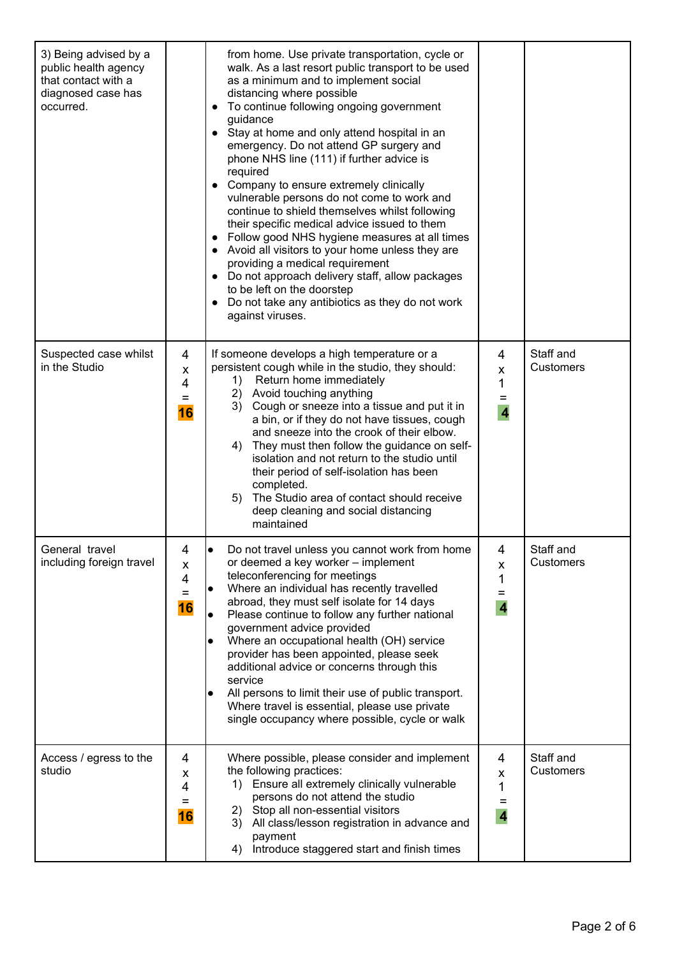| 3) Being advised by a<br>public health agency<br>that contact with a<br>diagnosed case has<br>occurred. |                          | from home. Use private transportation, cycle or<br>walk. As a last resort public transport to be used<br>as a minimum and to implement social<br>distancing where possible<br>To continue following ongoing government<br>$\bullet$<br>guidance<br>Stay at home and only attend hospital in an<br>$\bullet$<br>emergency. Do not attend GP surgery and<br>phone NHS line (111) if further advice is<br>required<br>Company to ensure extremely clinically<br>$\bullet$<br>vulnerable persons do not come to work and<br>continue to shield themselves whilst following<br>their specific medical advice issued to them<br>Follow good NHS hygiene measures at all times<br>Avoid all visitors to your home unless they are<br>providing a medical requirement<br>Do not approach delivery staff, allow packages<br>$\bullet$<br>to be left on the doorstep<br>Do not take any antibiotics as they do not work<br>$\bullet$<br>against viruses. |                                             |                        |
|---------------------------------------------------------------------------------------------------------|--------------------------|------------------------------------------------------------------------------------------------------------------------------------------------------------------------------------------------------------------------------------------------------------------------------------------------------------------------------------------------------------------------------------------------------------------------------------------------------------------------------------------------------------------------------------------------------------------------------------------------------------------------------------------------------------------------------------------------------------------------------------------------------------------------------------------------------------------------------------------------------------------------------------------------------------------------------------------------|---------------------------------------------|------------------------|
| Suspected case whilst<br>in the Studio                                                                  | 4<br>X<br>4<br>=<br>16   | If someone develops a high temperature or a<br>persistent cough while in the studio, they should:<br>1) Return home immediately<br>2) Avoid touching anything<br>3) Cough or sneeze into a tissue and put it in<br>a bin, or if they do not have tissues, cough<br>and sneeze into the crook of their elbow.<br>They must then follow the guidance on self-<br>4)<br>isolation and not return to the studio until<br>their period of self-isolation has been<br>completed.<br>5) The Studio area of contact should receive<br>deep cleaning and social distancing<br>maintained                                                                                                                                                                                                                                                                                                                                                                | 4<br>X<br>1<br>$\overline{4}$               | Staff and<br>Customers |
| General travel<br>including foreign travel                                                              | 4<br>X<br>4<br>$=$<br>16 | Do not travel unless you cannot work from home<br>or deemed a key worker - implement<br>teleconferencing for meetings<br>Where an individual has recently travelled<br>$\bullet$<br>abroad, they must self isolate for 14 days<br>Please continue to follow any further national<br>$\bullet$<br>government advice provided<br>Where an occupational health (OH) service<br>$\bullet$<br>provider has been appointed, please seek<br>additional advice or concerns through this<br>service<br>All persons to limit their use of public transport.<br>Where travel is essential, please use private<br>single occupancy where possible, cycle or walk                                                                                                                                                                                                                                                                                           | 4<br>x<br>1<br>Ξ<br>$\overline{\mathbf{4}}$ | Staff and<br>Customers |
| Access / egress to the<br>studio                                                                        | 4<br>x<br>4<br>Ξ<br>16   | Where possible, please consider and implement<br>the following practices:<br>1) Ensure all extremely clinically vulnerable<br>persons do not attend the studio<br>2) Stop all non-essential visitors<br>3) All class/lesson registration in advance and<br>payment<br>Introduce staggered start and finish times<br>4)                                                                                                                                                                                                                                                                                                                                                                                                                                                                                                                                                                                                                         | 4<br>X<br>1<br>=<br>$\overline{\mathbf{4}}$ | Staff and<br>Customers |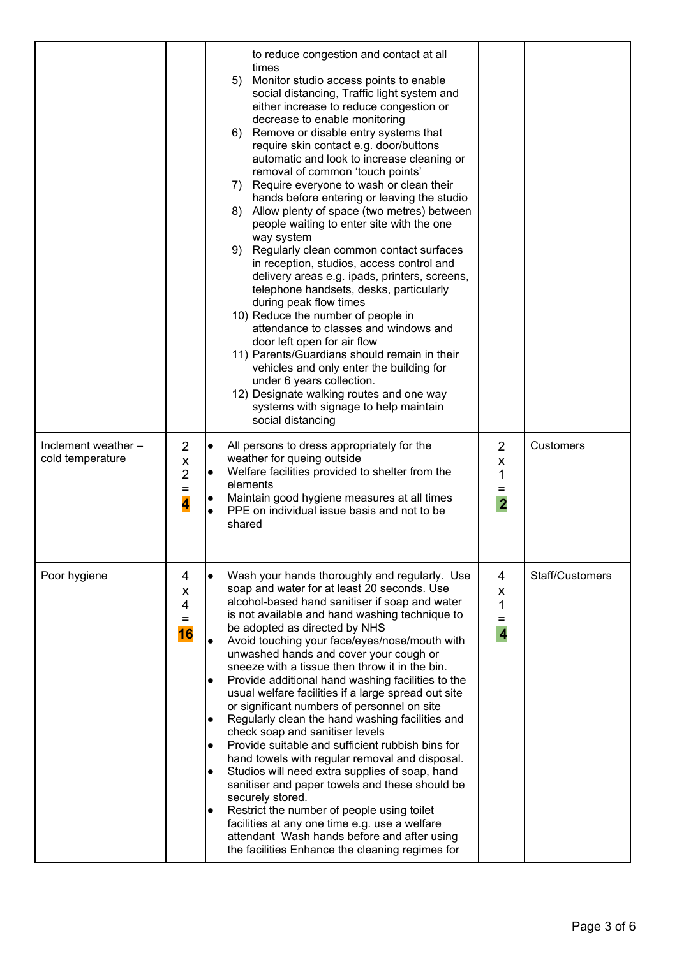|                                         |                         | to reduce congestion and contact at all<br>times<br>5) Monitor studio access points to enable<br>social distancing, Traffic light system and<br>either increase to reduce congestion or<br>decrease to enable monitoring<br>6) Remove or disable entry systems that<br>require skin contact e.g. door/buttons<br>automatic and look to increase cleaning or<br>removal of common 'touch points'<br>7) Require everyone to wash or clean their<br>hands before entering or leaving the studio<br>8) Allow plenty of space (two metres) between<br>people waiting to enter site with the one<br>way system<br>9) Regularly clean common contact surfaces<br>in reception, studios, access control and<br>delivery areas e.g. ipads, printers, screens,<br>telephone handsets, desks, particularly<br>during peak flow times<br>10) Reduce the number of people in<br>attendance to classes and windows and<br>door left open for air flow<br>11) Parents/Guardians should remain in their<br>vehicles and only enter the building for<br>under 6 years collection.<br>12) Designate walking routes and one way<br>systems with signage to help maintain<br>social distancing |                                                 |                  |
|-----------------------------------------|-------------------------|----------------------------------------------------------------------------------------------------------------------------------------------------------------------------------------------------------------------------------------------------------------------------------------------------------------------------------------------------------------------------------------------------------------------------------------------------------------------------------------------------------------------------------------------------------------------------------------------------------------------------------------------------------------------------------------------------------------------------------------------------------------------------------------------------------------------------------------------------------------------------------------------------------------------------------------------------------------------------------------------------------------------------------------------------------------------------------------------------------------------------------------------------------------------------|-------------------------------------------------|------------------|
| Inclement weather -<br>cold temperature | 2<br>X<br>2<br>$=$<br>4 | l.<br>All persons to dress appropriately for the<br>weather for queing outside<br>Welfare facilities provided to shelter from the<br>l.<br>elements<br>Maintain good hygiene measures at all times<br>$\bullet$<br>PPE on individual issue basis and not to be<br>$\bullet$<br>shared                                                                                                                                                                                                                                                                                                                                                                                                                                                                                                                                                                                                                                                                                                                                                                                                                                                                                      | $\overline{2}$<br>X<br>1<br>Ξ<br>$\overline{2}$ | <b>Customers</b> |
| Poor hygiene                            | 4<br>X<br>4<br>Ξ<br>16  | Wash your hands thoroughly and regularly. Use<br>$\bullet$<br>soap and water for at least 20 seconds. Use<br>alcohol-based hand sanitiser if soap and water<br>is not available and hand washing technique to<br>be adopted as directed by NHS<br>Avoid touching your face/eyes/nose/mouth with<br>$\bullet$<br>unwashed hands and cover your cough or<br>sneeze with a tissue then throw it in the bin.<br>Provide additional hand washing facilities to the<br>usual welfare facilities if a large spread out site<br>or significant numbers of personnel on site<br>Regularly clean the hand washing facilities and<br>check soap and sanitiser levels<br>Provide suitable and sufficient rubbish bins for<br>$\bullet$<br>hand towels with regular removal and disposal.<br>Studios will need extra supplies of soap, hand<br>$\bullet$<br>sanitiser and paper towels and these should be<br>securely stored.<br>Restrict the number of people using toilet<br>$\bullet$<br>facilities at any one time e.g. use a welfare<br>attendant Wash hands before and after using<br>the facilities Enhance the cleaning regimes for                                            | 4<br>X<br>1<br>$=$<br>$\overline{\mathbf{4}}$   | Staff/Customers  |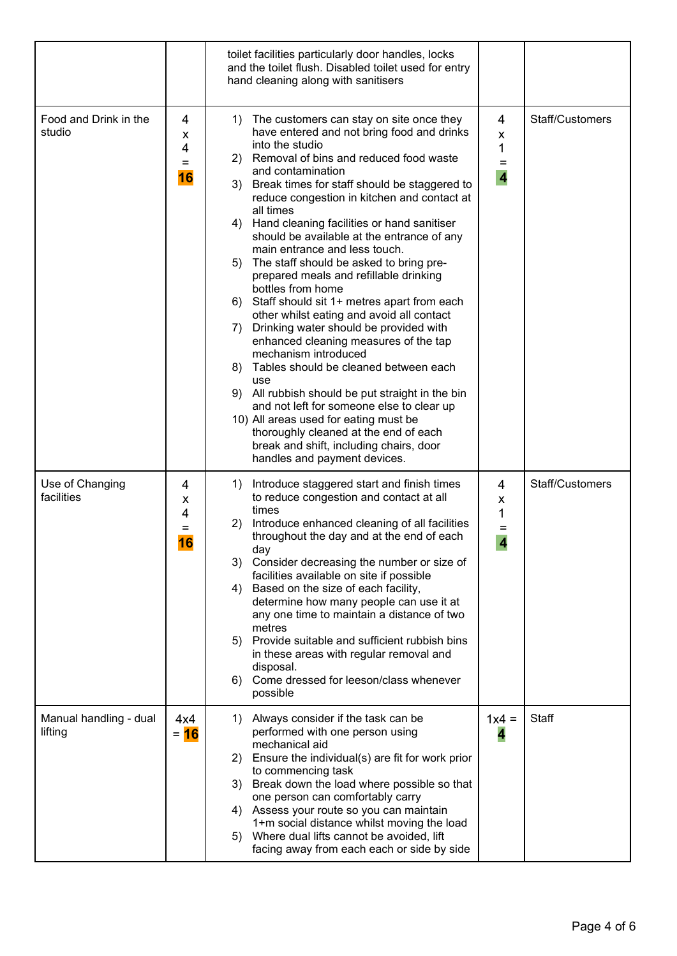|                                   |                          | toilet facilities particularly door handles, locks<br>and the toilet flush. Disabled toilet used for entry<br>hand cleaning along with sanitisers                                                                                                                                                                                                                                                                                                                                                                                                                                                                                                                                                                                                                                                                                                                                                                                                                                                                                                                          |                                               |                 |
|-----------------------------------|--------------------------|----------------------------------------------------------------------------------------------------------------------------------------------------------------------------------------------------------------------------------------------------------------------------------------------------------------------------------------------------------------------------------------------------------------------------------------------------------------------------------------------------------------------------------------------------------------------------------------------------------------------------------------------------------------------------------------------------------------------------------------------------------------------------------------------------------------------------------------------------------------------------------------------------------------------------------------------------------------------------------------------------------------------------------------------------------------------------|-----------------------------------------------|-----------------|
| Food and Drink in the<br>studio   | 4<br>х<br>4<br>$=$<br>16 | 1) The customers can stay on site once they<br>have entered and not bring food and drinks<br>into the studio<br>2) Removal of bins and reduced food waste<br>and contamination<br>3) Break times for staff should be staggered to<br>reduce congestion in kitchen and contact at<br>all times<br>4) Hand cleaning facilities or hand sanitiser<br>should be available at the entrance of any<br>main entrance and less touch.<br>5) The staff should be asked to bring pre-<br>prepared meals and refillable drinking<br>bottles from home<br>6) Staff should sit 1+ metres apart from each<br>other whilst eating and avoid all contact<br>Drinking water should be provided with<br>7)<br>enhanced cleaning measures of the tap<br>mechanism introduced<br>8) Tables should be cleaned between each<br>use<br>9) All rubbish should be put straight in the bin<br>and not left for someone else to clear up<br>10) All areas used for eating must be<br>thoroughly cleaned at the end of each<br>break and shift, including chairs, door<br>handles and payment devices. | 4<br>X<br>1<br>$=$<br>$\overline{\mathbf{4}}$ | Staff/Customers |
| Use of Changing<br>facilities     | 4<br>x<br>4<br>=<br>16   | Introduce staggered start and finish times<br>1)<br>to reduce congestion and contact at all<br>times<br>Introduce enhanced cleaning of all facilities<br>2)<br>throughout the day and at the end of each<br>day<br>3) Consider decreasing the number or size of<br>facilities available on site if possible<br>Based on the size of each facility,<br>4)<br>determine how many people can use it at<br>any one time to maintain a distance of two<br>metres<br>5) Provide suitable and sufficient rubbish bins<br>in these areas with regular removal and<br>disposal.<br>6) Come dressed for leeson/class whenever<br>possible                                                                                                                                                                                                                                                                                                                                                                                                                                            | 4<br>X<br>1<br>Ξ<br>$\overline{\mathbf{4}}$   | Staff/Customers |
| Manual handling - dual<br>lifting | 4x4<br>$= 16$            | 1) Always consider if the task can be<br>performed with one person using<br>mechanical aid<br>2) Ensure the individual(s) are fit for work prior<br>to commencing task<br>3) Break down the load where possible so that<br>one person can comfortably carry<br>4) Assess your route so you can maintain<br>1+m social distance whilst moving the load<br>Where dual lifts cannot be avoided, lift<br>5)<br>facing away from each each or side by side                                                                                                                                                                                                                                                                                                                                                                                                                                                                                                                                                                                                                      | $1x4 =$<br>4                                  | Staff           |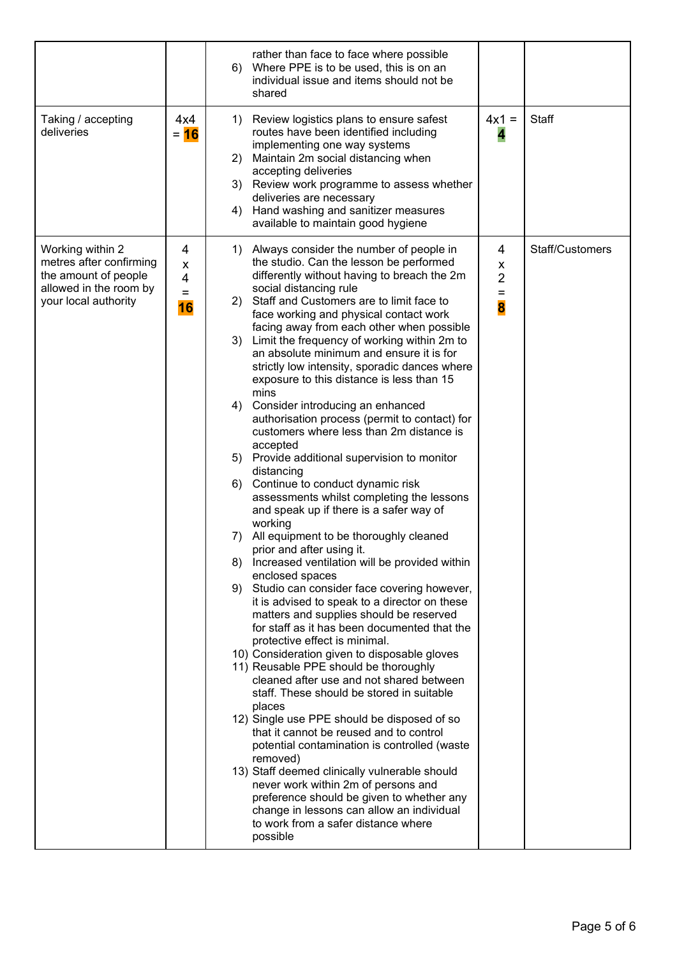|                                                                                                                       |                          | rather than face to face where possible<br>6) Where PPE is to be used, this is on an<br>individual issue and items should not be<br>shared                                                                                                                                                                                                                                                                                                                                                                                                                                                                                                                                                                                                                                                                                                                                                                                                                                                                                                                                                                                                                                                                                                                                                                                                                                                                                                                                                                                                                                                                                                                                                                                                                                                                                                                   |                                                       |                 |
|-----------------------------------------------------------------------------------------------------------------------|--------------------------|--------------------------------------------------------------------------------------------------------------------------------------------------------------------------------------------------------------------------------------------------------------------------------------------------------------------------------------------------------------------------------------------------------------------------------------------------------------------------------------------------------------------------------------------------------------------------------------------------------------------------------------------------------------------------------------------------------------------------------------------------------------------------------------------------------------------------------------------------------------------------------------------------------------------------------------------------------------------------------------------------------------------------------------------------------------------------------------------------------------------------------------------------------------------------------------------------------------------------------------------------------------------------------------------------------------------------------------------------------------------------------------------------------------------------------------------------------------------------------------------------------------------------------------------------------------------------------------------------------------------------------------------------------------------------------------------------------------------------------------------------------------------------------------------------------------------------------------------------------------|-------------------------------------------------------|-----------------|
| Taking / accepting<br>deliveries                                                                                      | 4x4<br>$= 16$            | Review logistics plans to ensure safest<br>1)<br>routes have been identified including<br>implementing one way systems<br>Maintain 2m social distancing when<br>2)<br>accepting deliveries<br>3)<br>Review work programme to assess whether<br>deliveries are necessary<br>Hand washing and sanitizer measures<br>4)<br>available to maintain good hygiene                                                                                                                                                                                                                                                                                                                                                                                                                                                                                                                                                                                                                                                                                                                                                                                                                                                                                                                                                                                                                                                                                                                                                                                                                                                                                                                                                                                                                                                                                                   | $4x1 =$<br>4                                          | Staff           |
| Working within 2<br>metres after confirming<br>the amount of people<br>allowed in the room by<br>your local authority | 4<br>X<br>4<br>$=$<br>16 | Always consider the number of people in<br>1)<br>the studio. Can the lesson be performed<br>differently without having to breach the 2m<br>social distancing rule<br>Staff and Customers are to limit face to<br>(2)<br>face working and physical contact work<br>facing away from each other when possible<br>3) Limit the frequency of working within 2m to<br>an absolute minimum and ensure it is for<br>strictly low intensity, sporadic dances where<br>exposure to this distance is less than 15<br>mins<br>Consider introducing an enhanced<br>4)<br>authorisation process (permit to contact) for<br>customers where less than 2m distance is<br>accepted<br>Provide additional supervision to monitor<br>5)<br>distancing<br>Continue to conduct dynamic risk<br>6)<br>assessments whilst completing the lessons<br>and speak up if there is a safer way of<br>working<br>All equipment to be thoroughly cleaned<br>7)<br>prior and after using it.<br>8) Increased ventilation will be provided within<br>enclosed spaces<br>Studio can consider face covering however,<br>9)<br>it is advised to speak to a director on these<br>matters and supplies should be reserved<br>for staff as it has been documented that the<br>protective effect is minimal.<br>10) Consideration given to disposable gloves<br>11) Reusable PPE should be thoroughly<br>cleaned after use and not shared between<br>staff. These should be stored in suitable<br>places<br>12) Single use PPE should be disposed of so<br>that it cannot be reused and to control<br>potential contamination is controlled (waste<br>removed)<br>13) Staff deemed clinically vulnerable should<br>never work within 2m of persons and<br>preference should be given to whether any<br>change in lessons can allow an individual<br>to work from a safer distance where<br>possible | 4<br>$\pmb{\mathsf{X}}$<br>$\overline{2}$<br>$=$<br>8 | Staff/Customers |